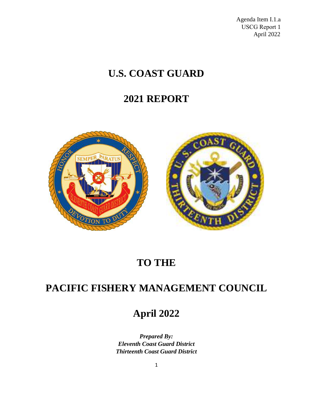Agenda Item I.1.a USCG Report 1 April 2022

# **U.S. COAST GUARD**

## **2021 REPORT**



# **TO THE**

## **PACIFIC FISHERY MANAGEMENT COUNCIL**

## **April 2022**

*Prepared By: Eleventh Coast Guard District Thirteenth Coast Guard District*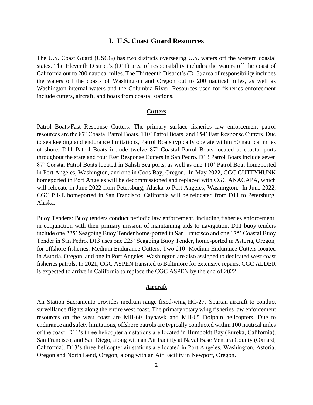## **I. U.S. Coast Guard Resources**

The U.S. Coast Guard (USCG) has two districts overseeing U.S. waters off the western coastal states. The Eleventh District's (D11) area of responsibility includes the waters off the coast of California out to 200 nautical miles. The Thirteenth District's (D13) area of responsibility includes the waters off the coasts of Washington and Oregon out to 200 nautical miles, as well as Washington internal waters and the Columbia River. Resources used for fisheries enforcement include cutters, aircraft, and boats from coastal stations.

#### **Cutters**

Patrol Boats/Fast Response Cutters: The primary surface fisheries law enforcement patrol resources are the 87' Coastal Patrol Boats, 110' Patrol Boats, and 154' Fast Response Cutters. Due to sea keeping and endurance limitations, Patrol Boats typically operate within 50 nautical miles of shore. D11 Patrol Boats include twelve 87' Coastal Patrol Boats located at coastal ports throughout the state and four Fast Response Cutters in San Pedro. D13 Patrol Boats include seven 87' Coastal Patrol Boats located in Salish Sea ports, as well as one 110' Patrol Boat homeported in Port Angeles, Washington, and one in Coos Bay, Oregon. In May 2022, CGC CUTTYHUNK homeported in Port Angeles will be decommissioned and replaced with CGC ANACAPA, which will relocate in June 2022 from Petersburg, Alaska to Port Angeles, Washington. In June 2022, CGC PIKE homeported in San Francisco, California will be relocated from D11 to Petersburg, Alaska.

Buoy Tenders: Buoy tenders conduct periodic law enforcement, including fisheries enforcement, in conjunction with their primary mission of maintaining aids to navigation. D11 buoy tenders include one 225' Seagoing Buoy Tender home-ported in San Francisco and one 175' Coastal Buoy Tender in San Pedro. D13 uses one 225' Seagoing Buoy Tender, home-ported in Astoria, Oregon, for offshore fisheries. Medium Endurance Cutters: Two 210' Medium Endurance Cutters located in Astoria, Oregon, and one in Port Angeles, Washington are also assigned to dedicated west coast fisheries patrols. In 2021, CGC ASPEN transited to Baltimore for extensive repairs, CGC ALDER is expected to arrive in California to replace the CGC ASPEN by the end of 2022.

## **Aircraft**

Air Station Sacramento provides medium range fixed-wing HC-27J Spartan aircraft to conduct surveillance flights along the entire west coast. The primary rotary wing fisheries law enforcement resources on the west coast are MH-60 Jayhawk and MH-65 Dolphin helicopters. Due to endurance and safety limitations, offshore patrols are typically conducted within 100 nautical miles of the coast. D11's three helicopter air stations are located in Humboldt Bay (Eureka, California), San Francisco, and San Diego, along with an Air Facility at Naval Base Ventura County (Oxnard, California). D13's three helicopter air stations are located in Port Angeles, Washington, Astoria, Oregon and North Bend, Oregon, along with an Air Facility in Newport, Oregon.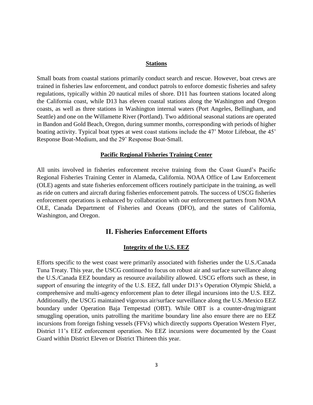#### **Stations**

Small boats from coastal stations primarily conduct search and rescue. However, boat crews are trained in fisheries law enforcement, and conduct patrols to enforce domestic fisheries and safety regulations, typically within 20 nautical miles of shore. D11 has fourteen stations located along the California coast, while D13 has eleven coastal stations along the Washington and Oregon coasts, as well as three stations in Washington internal waters (Port Angeles, Bellingham, and Seattle) and one on the Willamette River (Portland). Two additional seasonal stations are operated in Bandon and Gold Beach, Oregon, during summer months, corresponding with periods of higher boating activity. Typical boat types at west coast stations include the 47' Motor Lifeboat, the 45' Response Boat-Medium, and the 29' Response Boat-Small.

#### **Pacific Regional Fisheries Training Center**

All units involved in fisheries enforcement receive training from the Coast Guard's Pacific Regional Fisheries Training Center in Alameda, California. NOAA Office of Law Enforcement (OLE) agents and state fisheries enforcement officers routinely participate in the training, as well as ride on cutters and aircraft during fisheries enforcement patrols. The success of USCG fisheries enforcement operations is enhanced by collaboration with our enforcement partners from NOAA OLE, Canada Department of Fisheries and Oceans (DFO), and the states of California, Washington, and Oregon.

## **II. Fisheries Enforcement Efforts**

### **Integrity of the U.S. EEZ**

Efforts specific to the west coast were primarily associated with fisheries under the U.S./Canada Tuna Treaty. This year, the USCG continued to focus on robust air and surface surveillance along the U.S./Canada EEZ boundary as resource availability allowed. USCG efforts such as these, in support of ensuring the integrity of the U.S. EEZ, fall under D13's Operation Olympic Shield, a comprehensive and multi-agency enforcement plan to deter illegal incursions into the U.S. EEZ. Additionally, the USCG maintained vigorous air/surface surveillance along the U.S./Mexico EEZ boundary under Operation Baja Tempestad (OBT). While OBT is a counter-drug/migrant smuggling operation, units patrolling the maritime boundary line also ensure there are no EEZ incursions from foreign fishing vessels (FFVs) which directly supports Operation Western Flyer, District 11's EEZ enforcement operation. No EEZ incursions were documented by the Coast Guard within District Eleven or District Thirteen this year.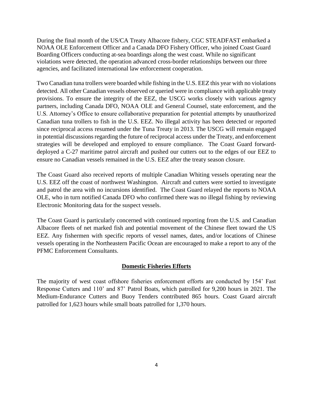During the final month of the US/CA Treaty Albacore fishery, CGC STEADFAST embarked a NOAA OLE Enforcement Officer and a Canada DFO Fishery Officer, who joined Coast Guard Boarding Officers conducting at-sea boardings along the west coast. While no significant violations were detected, the operation advanced cross-border relationships between our three agencies, and facilitated international law enforcement cooperation.

Two Canadian tuna trollers were boarded while fishing in the U.S. EEZ this year with no violations detected. All other Canadian vessels observed or queried were in compliance with applicable treaty provisions. To ensure the integrity of the EEZ, the USCG works closely with various agency partners, including Canada DFO, NOAA OLE and General Counsel, state enforcement, and the U.S. Attorney's Office to ensure collaborative preparation for potential attempts by unauthorized Canadian tuna trollers to fish in the U.S. EEZ. No illegal activity has been detected or reported since reciprocal access resumed under the Tuna Treaty in 2013. The USCG will remain engaged in potential discussions regarding the future of reciprocal access under the Treaty, and enforcement strategies will be developed and employed to ensure compliance. The Coast Guard forwarddeployed a C-27 maritime patrol aircraft and pushed our cutters out to the edges of our EEZ to ensure no Canadian vessels remained in the U.S. EEZ after the treaty season closure.

The Coast Guard also received reports of multiple Canadian Whiting vessels operating near the U.S. EEZ off the coast of northwest Washington. Aircraft and cutters were sortied to investigate and patrol the area with no incursions identified. The Coast Guard relayed the reports to NOAA OLE, who in turn notified Canada DFO who confirmed there was no illegal fishing by reviewing Electronic Monitoring data for the suspect vessels.

The Coast Guard is particularly concerned with continued reporting from the U.S. and Canadian Albacore fleets of net marked fish and potential movement of the Chinese fleet toward the US EEZ. Any fishermen with specific reports of vessel names, dates, and/or locations of Chinese vessels operating in the Northeastern Pacific Ocean are encouraged to make a report to any of the PFMC Enforcement Consultants.

#### **Domestic Fisheries Efforts**

The majority of west coast offshore fisheries enforcement efforts are conducted by 154' Fast Response Cutters and 110' and 87' Patrol Boats, which patrolled for 9,200 hours in 2021. The Medium-Endurance Cutters and Buoy Tenders contributed 865 hours. Coast Guard aircraft patrolled for 1,623 hours while small boats patrolled for 1,370 hours.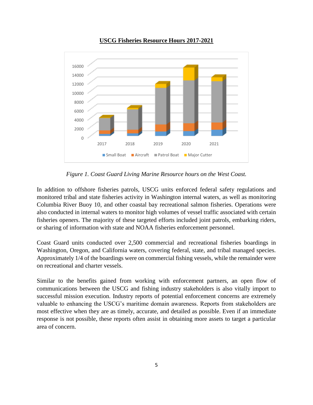

## **USCG Fisheries Resource Hours 2017-2021**

*Figure 1. Coast Guard Living Marine Resource hours on the West Coast.*

In addition to offshore fisheries patrols, USCG units enforced federal safety regulations and monitored tribal and state fisheries activity in Washington internal waters, as well as monitoring Columbia River Buoy 10, and other coastal bay recreational salmon fisheries. Operations were also conducted in internal waters to monitor high volumes of vessel traffic associated with certain fisheries openers. The majority of these targeted efforts included joint patrols, embarking riders, or sharing of information with state and NOAA fisheries enforcement personnel.

Coast Guard units conducted over 2,500 commercial and recreational fisheries boardings in Washington, Oregon, and California waters, covering federal, state, and tribal managed species. Approximately 1/4 of the boardings were on commercial fishing vessels, while the remainder were on recreational and charter vessels.

Similar to the benefits gained from working with enforcement partners, an open flow of communications between the USCG and fishing industry stakeholders is also vitally import to successful mission execution. Industry reports of potential enforcement concerns are extremely valuable to enhancing the USCG's maritime domain awareness. Reports from stakeholders are most effective when they are as timely, accurate, and detailed as possible. Even if an immediate response is not possible, these reports often assist in obtaining more assets to target a particular area of concern.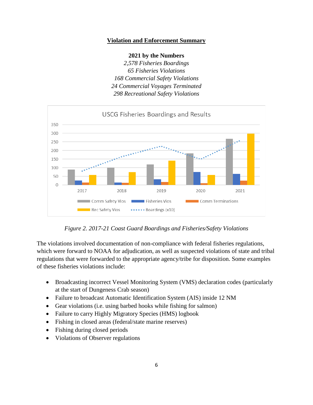## **Violation and Enforcement Summary**

#### **2021 by the Numbers**

*2,578 Fisheries Boardings Fisheries Violations Commercial Safety Violations Commercial Voyages Terminated Recreational Safety Violations*



*Figure 2. 2017-21 Coast Guard Boardings and Fisheries/Safety Violations*

The violations involved documentation of non-compliance with federal fisheries regulations, which were forward to NOAA for adjudication, as well as suspected violations of state and tribal regulations that were forwarded to the appropriate agency/tribe for disposition. Some examples of these fisheries violations include:

- Broadcasting incorrect Vessel Monitoring System (VMS) declaration codes (particularly at the start of Dungeness Crab season)
- Failure to broadcast Automatic Identification System (AIS) inside 12 NM
- Gear violations (i.e. using barbed hooks while fishing for salmon)
- Failure to carry Highly Migratory Species (HMS) logbook
- Fishing in closed areas (federal/state marine reserves)
- Fishing during closed periods
- Violations of Observer regulations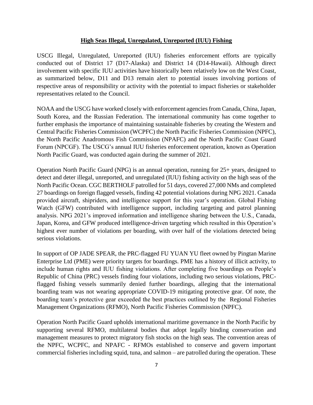#### **High Seas Illegal, Unregulated, Unreported (IUU) Fishing**

USCG Illegal, Unregulated, Unreported (IUU) fisheries enforcement efforts are typically conducted out of District 17 (D17-Alaska) and District 14 (D14-Hawaii). Although direct involvement with specific IUU activities have historically been relatively low on the West Coast, as summarized below, D11 and D13 remain alert to potential issues involving portions of respective areas of responsibility or activity with the potential to impact fisheries or stakeholder representatives related to the Council.

NOAA and the USCG have worked closely with enforcement agencies from Canada, China, Japan, South Korea, and the Russian Federation. The international community has come together to further emphasis the importance of maintaining sustainable fisheries by creating the Western and Central Pacific Fisheries Commission (WCPFC) the North Pacific Fisheries Commission (NPFC), the North Pacific Anadromous Fish Commission (NPAFC) and the North Pacific Coast Guard Forum (NPCGF). The USCG's annual IUU fisheries enforcement operation, known as Operation North Pacific Guard, was conducted again during the summer of 2021.

Operation North Pacific Guard (NPG) is an annual operation, running for 25+ years, designed to detect and deter illegal, unreported, and unregulated (IUU) fishing activity on the high seas of the North Pacific Ocean. CGC BERTHOLF patrolled for 51 days, covered 27,000 NMs and completed 27 boardings on foreign flagged vessels, finding 42 potential violations during NPG 2021. Canada provided aircraft, shipriders, and intelligence support for this year's operation. Global Fishing Watch (GFW) contributed with intelligence support, including targeting and patrol planning analysis. NPG 2021's improved information and intelligence sharing between the U.S., Canada, Japan, Korea, and GFW produced intelligence-driven targeting which resulted in this Operation's highest ever number of violations per boarding, with over half of the violations detected being serious violations.

In support of OP JADE SPEAR, the PRC-flagged FU YUAN YU fleet owned by Pingtan Marine Enterprise Ltd (PME) were priority targets for boardings. PME has a history of illicit activity, to include human rights and IUU fishing violations. After completing five boardings on People's Republic of China (PRC) vessels finding four violations, including two serious violations, PRCflagged fishing vessels summarily denied further boardings, alleging that the international boarding team was not wearing appropriate COVID-19 mitigating protective gear. Of note, the boarding team's protective gear exceeded the best practices outlined by the Regional Fisheries Management Organizations (RFMO), North Pacific Fisheries Commission (NPFC).

Operation North Pacific Guard upholds international maritime governance in the North Pacific by supporting several RFMO, multilateral bodies that adopt legally binding conservation and management measures to protect migratory fish stocks on the high seas. The convention areas of the NPFC, WCPFC, and NPAFC - RFMOs established to conserve and govern important commercial fisheries including squid, tuna, and salmon – are patrolled during the operation. These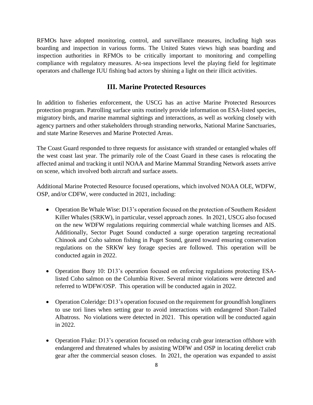RFMOs have adopted monitoring, control, and surveillance measures, including high seas boarding and inspection in various forms. The United States views high seas boarding and inspection authorities in RFMOs to be critically important to monitoring and compelling compliance with regulatory measures. At-sea inspections level the playing field for legitimate operators and challenge IUU fishing bad actors by shining a light on their illicit activities.

## **III. Marine Protected Resources**

In addition to fisheries enforcement, the USCG has an active Marine Protected Resources protection program. Patrolling surface units routinely provide information on ESA-listed species, migratory birds, and marine mammal sightings and interactions, as well as working closely with agency partners and other stakeholders through stranding networks, National Marine Sanctuaries, and state Marine Reserves and Marine Protected Areas.

The Coast Guard responded to three requests for assistance with stranded or entangled whales off the west coast last year. The primarily role of the Coast Guard in these cases is relocating the affected animal and tracking it until NOAA and Marine Mammal Stranding Network assets arrive on scene, which involved both aircraft and surface assets.

Additional Marine Protected Resource focused operations, which involved NOAA OLE, WDFW, OSP, and/or CDFW, were conducted in 2021, including:

- Operation Be Whale Wise: D13's operation focused on the protection of Southern Resident Killer Whales (SRKW), in particular, vessel approach zones. In 2021, USCG also focused on the new WDFW regulations requiring commercial whale watching licenses and AIS. Additionally, Sector Puget Sound conducted a surge operation targeting recreational Chinook and Coho salmon fishing in Puget Sound, geared toward ensuring conservation regulations on the SRKW key forage species are followed. This operation will be conducted again in 2022.
- Operation Buoy 10: D13's operation focused on enforcing regulations protecting ESAlisted Coho salmon on the Columbia River. Several minor violations were detected and referred to WDFW/OSP. This operation will be conducted again in 2022.
- Operation Coleridge: D13's operation focused on the requirement for groundfish longliners to use tori lines when setting gear to avoid interactions with endangered Short-Tailed Albatross. No violations were detected in 2021. This operation will be conducted again in 2022.
- Operation Fluke: D13's operation focused on reducing crab gear interaction offshore with endangered and threatened whales by assisting WDFW and OSP in locating derelict crab gear after the commercial season closes. In 2021, the operation was expanded to assist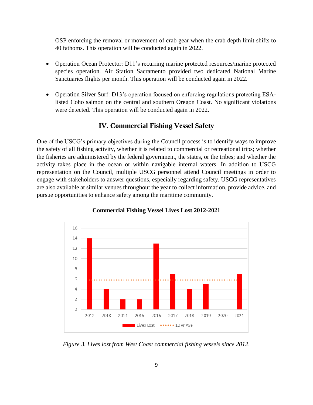OSP enforcing the removal or movement of crab gear when the crab depth limit shifts to 40 fathoms. This operation will be conducted again in 2022.

- Operation Ocean Protector: D11's recurring marine protected resources/marine protected species operation. Air Station Sacramento provided two dedicated National Marine Sanctuaries flights per month. This operation will be conducted again in 2022.
- Operation Silver Surf: D13's operation focused on enforcing regulations protecting ESAlisted Coho salmon on the central and southern Oregon Coast. No significant violations were detected. This operation will be conducted again in 2022.

## **IV. Commercial Fishing Vessel Safety**

One of the USCG's primary objectives during the Council process is to identify ways to improve the safety of all fishing activity, whether it is related to commercial or recreational trips; whether the fisheries are administered by the federal government, the states, or the tribes; and whether the activity takes place in the ocean or within navigable internal waters. In addition to USCG representation on the Council, multiple USCG personnel attend Council meetings in order to engage with stakeholders to answer questions, especially regarding safety. USCG representatives are also available at similar venues throughout the year to collect information, provide advice, and pursue opportunities to enhance safety among the maritime community.



**Commercial Fishing Vessel Lives Lost 2012-2021**

*Figure 3. Lives lost from West Coast commercial fishing vessels since 2012.*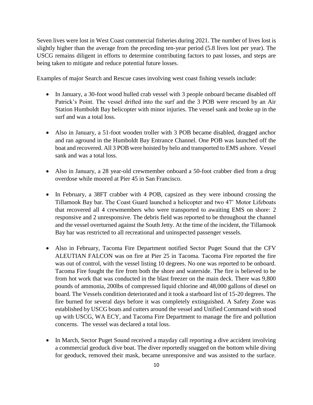Seven lives were lost in West Coast commercial fisheries during 2021. The number of lives lost is slightly higher than the average from the preceding ten-year period (5.8 lives lost per year). The USCG remains diligent in efforts to determine contributing factors to past losses, and steps are being taken to mitigate and reduce potential future losses.

Examples of major Search and Rescue cases involving west coast fishing vessels include:

- In January, a 30-foot wood hulled crab vessel with 3 people onboard became disabled off Patrick's Point. The vessel drifted into the surf and the 3 POB were rescued by an Air Station Humboldt Bay helicopter with minor injuries. The vessel sank and broke up in the surf and was a total loss.
- Also in January, a 51-foot wooden troller with 3 POB became disabled, dragged anchor and ran aground in the Humboldt Bay Entrance Channel. One POB was launched off the boat and recovered. All 3 POB were hoisted by helo and transported to EMS ashore. Vessel sank and was a total loss.
- Also in January, a 28 year-old crewmember onboard a 50-foot crabber died from a drug overdose while moored at Pier 45 in San Francisco.
- In February, a 38FT crabber with 4 POB, capsized as they were inbound crossing the Tillamook Bay bar. The Coast Guard launched a helicopter and two 47' Motor Lifeboats that recovered all 4 crewmembers who were transported to awaiting EMS on shore: 2 responsive and 2 unresponsive. The debris field was reported to be throughout the channel and the vessel overturned against the South Jetty. At the time of the incident, the Tillamook Bay bar was restricted to all recreational and uninspected passenger vessels.
- Also in February, Tacoma Fire Department notified Sector Puget Sound that the CFV ALEUTIAN FALCON was on fire at Pier 25 in Tacoma. Tacoma Fire reported the fire was out of control, with the vessel listing 10 degrees. No one was reported to be onboard. Tacoma Fire fought the fire from both the shore and waterside. The fire is believed to be from hot work that was conducted in the blast freezer on the main deck. There was 9,800 pounds of ammonia, 200lbs of compressed liquid chlorine and 48,000 gallons of diesel on board. The Vessels condition deteriorated and it took a starboard list of 15-20 degrees. The fire burned for several days before it was completely extinguished. A Safety Zone was established by USCG boats and cutters around the vessel and Unified Command with stood up with USCG, WA ECY, and Tacoma Fire Department to manage the fire and pollution concerns. The vessel was declared a total loss.
- In March, Sector Puget Sound received a mayday call reporting a dive accident involving a commercial geoduck dive boat. The diver reportedly snagged on the bottom while diving for geoduck, removed their mask, became unresponsive and was assisted to the surface.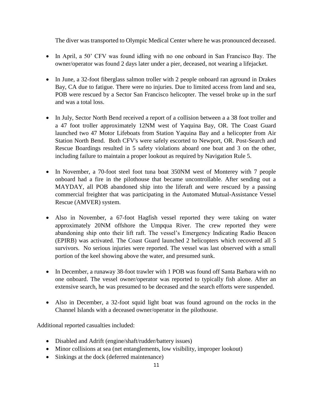The diver was transported to Olympic Medical Center where he was pronounced deceased.

- In April, a 50' CFV was found idling with no one onboard in San Francisco Bay. The owner/operator was found 2 days later under a pier, deceased, not wearing a lifejacket.
- In June, a 32-foot fiberglass salmon troller with 2 people onboard ran aground in Drakes Bay, CA due to fatigue. There were no injuries. Due to limited access from land and sea, POB were rescued by a Sector San Francisco helicopter. The vessel broke up in the surf and was a total loss.
- In July, Sector North Bend received a report of a collision between a a 38 foot troller and a 47 foot troller approximately 12NM west of Yaquina Bay, OR. The Coast Guard launched two 47 Motor Lifeboats from Station Yaquina Bay and a helicopter from Air Station North Bend. Both CFV's were safely escorted to Newport, OR. Post-Search and Rescue Boardings resulted in 5 safety violations aboard one boat and 3 on the other, including failure to maintain a proper lookout as required by Navigation Rule 5.
- In November, a 70-foot steel foot tuna boat 350NM west of Monterey with 7 people onboard had a fire in the pilothouse that became uncontrollable. After sending out a MAYDAY, all POB abandoned ship into the liferaft and were rescued by a passing commercial freighter that was participating in the Automated Mutual-Assistance Vessel Rescue (AMVER) system.
- Also in November, a 67-foot Hagfish vessel reported they were taking on water approximately 20NM offshore the Umpqua River. The crew reported they were abandoning ship onto their lift raft. The vessel's Emergency Indicating Radio Beacon (EPIRB) was activated. The Coast Guard launched 2 helicopters which recovered all 5 survivors. No serious injuries were reported. The vessel was last observed with a small portion of the keel showing above the water, and presumed sunk.
- In December, a runaway 38-foot trawler with 1 POB was found off Santa Barbara with no one onboard. The vessel owner/operator was reported to typically fish alone. After an extensive search, he was presumed to be deceased and the search efforts were suspended.
- Also in December, a 32-foot squid light boat was found aground on the rocks in the Channel Islands with a deceased owner/operator in the pilothouse.

Additional reported casualties included:

- Disabled and Adrift (engine/shaft/rudder/battery issues)
- Minor collisions at sea (net entanglements, low visibility, improper lookout)
- Sinkings at the dock (deferred maintenance)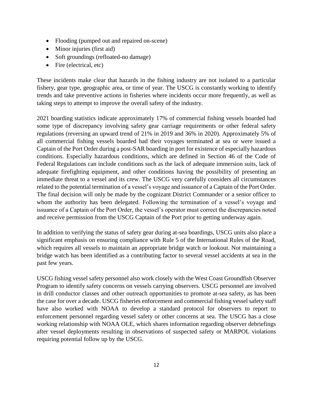- Flooding (pumped out and repaired on-scene)
- Minor injuries (first aid)
- Soft groundings (refloated-no damage)
- Fire (electrical, etc)

These incidents make clear that hazards in the fishing industry are not isolated to a particular fishery, gear type, geographic area, or time of year. The USCG is constantly working to identify trends and take preventive actions in fisheries where incidents occur more frequently, as well as taking steps to attempt to improve the overall safety of the industry.

2021 boarding statistics indicate approximately 17% of commercial fishing vessels boarded had some type of discrepancy involving safety gear carriage requirements or other federal safety regulations (reversing an upward trend of 21% in 2019 and 36% in 2020). Approximately 5% of all commercial fishing vessels boarded had their voyages terminated at sea or were issued a Captain of the Port Order during a post-SAR boarding in port for existence of especially hazardous conditions. Especially hazardous conditions, which are defined in Section 46 of the Code of Federal Regulations can include conditions such as the lack of adequate immersion suits, lack of adequate firefighting equipment, and other conditions having the possibility of presenting an immediate threat to a vessel and its crew. The USCG very carefully considers all circumstances related to the potential termination of a vessel's voyage and issuance of a Captain of the Port Order. The final decision will only be made by the cognizant District Commander or a senior officer to whom the authority has been delegated. Following the termination of a vessel's voyage and issuance of a Captain of the Port Order, the vessel's operator must correct the discrepancies noted and receive permission from the USCG Captain of the Port prior to getting underway again.

In addition to verifying the status of safety gear during at-sea boardings, USCG units also place a significant emphasis on ensuring compliance with Rule 5 of the International Rules of the Road, which requires all vessels to maintain an appropriate bridge watch or lookout. Not maintaining a bridge watch has been identified as a contributing factor to several vessel accidents at sea in the past few years.

USCG fishing vessel safety personnel also work closely with the West Coast Groundfish Observer Program to identify safety concerns on vessels carrying observers. USCG personnel are involved in drill conductor classes and other outreach opportunities to promote at-sea safety, as has been the case for over a decade. USCG fisheries enforcement and commercial fishing vessel safety staff have also worked with NOAA to develop a standard protocol for observers to report to enforcement personnel regarding vessel safety or other concerns at sea. The USCG has a close working relationship with NOAA OLE, which shares information regarding observer debriefings after vessel deployments resulting in observations of suspected safety or MARPOL violations requiring potential follow up by the USCG.